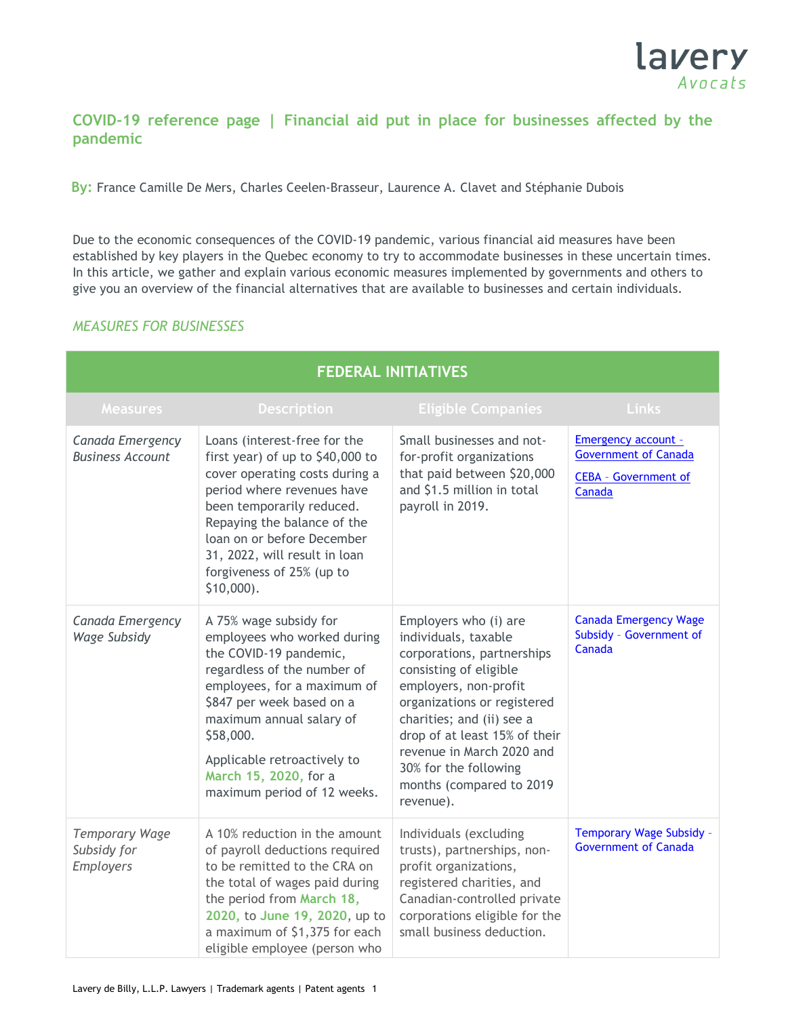

### **COVID-19 reference page | Financial aid put in place for businesses affected by the pandemic**

**By:** France Camille De Mers, Charles Ceelen-Brasseur, Laurence A. Clavet and Stéphanie Dubois

Due to the economic consequences of the COVID-19 pandemic, various financial aid measures have been established by key players in the Quebec economy to try to accommodate businesses in these uncertain times. In this article, we gather and explain various economic measures implemented by governments and others to give you an overview of the financial alternatives that are available to businesses and certain individuals.

#### *MEASURES FOR BUSINESSES*

| <b>FEDERAL INITIATIVES</b>                               |                                                                                                                                                                                                                                                                                                            |                                                                                                                                                                                                                                                                                                                            |                                                                                             |
|----------------------------------------------------------|------------------------------------------------------------------------------------------------------------------------------------------------------------------------------------------------------------------------------------------------------------------------------------------------------------|----------------------------------------------------------------------------------------------------------------------------------------------------------------------------------------------------------------------------------------------------------------------------------------------------------------------------|---------------------------------------------------------------------------------------------|
| <b>Measures</b>                                          | <b>Description</b>                                                                                                                                                                                                                                                                                         | <b>Eligible Companies</b>                                                                                                                                                                                                                                                                                                  | Links                                                                                       |
| Canada Emergency<br><b>Business Account</b>              | Loans (interest-free for the<br>first year) of up to \$40,000 to<br>cover operating costs during a<br>period where revenues have<br>been temporarily reduced.<br>Repaying the balance of the<br>loan on or before December<br>31, 2022, will result in loan<br>forgiveness of 25% (up to<br>$$10,000$ ).   | Small businesses and not-<br>for-profit organizations<br>that paid between \$20,000<br>and \$1.5 million in total<br>payroll in 2019.                                                                                                                                                                                      | Emergency account -<br><b>Government of Canada</b><br><b>CEBA</b> - Government of<br>Canada |
| Canada Emergency<br>Wage Subsidy                         | A 75% wage subsidy for<br>employees who worked during<br>the COVID-19 pandemic,<br>regardless of the number of<br>employees, for a maximum of<br>\$847 per week based on a<br>maximum annual salary of<br>\$58,000.<br>Applicable retroactively to<br>March 15, 2020, for a<br>maximum period of 12 weeks. | Employers who (i) are<br>individuals, taxable<br>corporations, partnerships<br>consisting of eligible<br>employers, non-profit<br>organizations or registered<br>charities; and (ii) see a<br>drop of at least 15% of their<br>revenue in March 2020 and<br>30% for the following<br>months (compared to 2019<br>revenue). | <b>Canada Emergency Wage</b><br>Subsidy - Government of<br>Canada                           |
| <b>Temporary Wage</b><br>Subsidy for<br><b>Employers</b> | A 10% reduction in the amount<br>of payroll deductions required<br>to be remitted to the CRA on<br>the total of wages paid during<br>the period from March 18,<br>2020, to June 19, 2020, up to<br>a maximum of \$1,375 for each<br>eligible employee (person who                                          | Individuals (excluding<br>trusts), partnerships, non-<br>profit organizations,<br>registered charities, and<br>Canadian-controlled private<br>corporations eligible for the<br>small business deduction.                                                                                                                   | <b>Temporary Wage Subsidy -</b><br><b>Government of Canada</b>                              |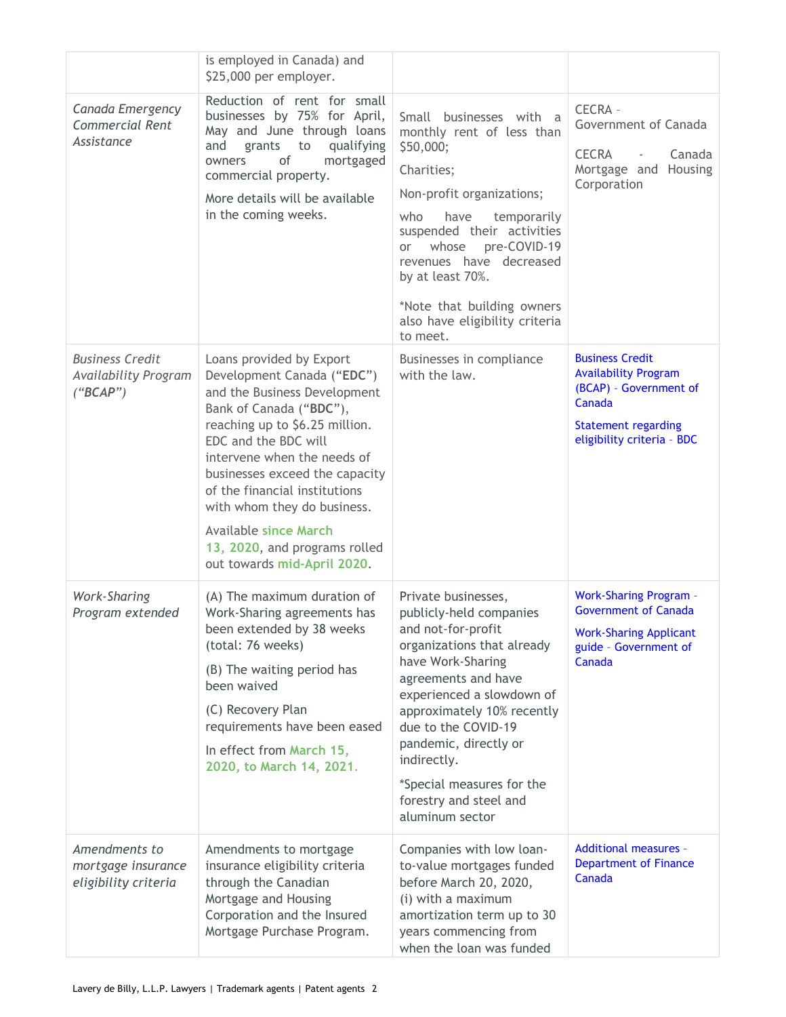|                                                                   | is employed in Canada) and<br>\$25,000 per employer.                                                                                                                                                                                                                                                                                                                                                         |                                                                                                                                                                                                                                                                                                                                                    |                                                                                                                                                       |
|-------------------------------------------------------------------|--------------------------------------------------------------------------------------------------------------------------------------------------------------------------------------------------------------------------------------------------------------------------------------------------------------------------------------------------------------------------------------------------------------|----------------------------------------------------------------------------------------------------------------------------------------------------------------------------------------------------------------------------------------------------------------------------------------------------------------------------------------------------|-------------------------------------------------------------------------------------------------------------------------------------------------------|
| Canada Emergency<br>Commercial Rent<br>Assistance                 | Reduction of rent for small<br>businesses by 75% for April,<br>May and June through loans<br>qualifying<br>and<br>to<br>grants<br>οf<br>mortgaged<br>owners<br>commercial property.<br>More details will be available<br>in the coming weeks.                                                                                                                                                                | Small businesses with a<br>monthly rent of less than<br>\$50,000;<br>Charities;<br>Non-profit organizations;<br>who<br>have<br>temporarily<br>suspended their activities<br>pre-COVID-19<br>whose<br>or a<br>revenues have decreased<br>by at least 70%.<br>*Note that building owners<br>also have eligibility criteria<br>to meet.               | CECRA -<br>Government of Canada<br><b>CECRA</b><br>Canada<br>$\overline{\phantom{a}}$<br>Mortgage and Housing<br>Corporation                          |
| <b>Business Credit</b><br><b>Availability Program</b><br>("BCAP") | Loans provided by Export<br>Development Canada ("EDC")<br>and the Business Development<br>Bank of Canada ("BDC"),<br>reaching up to \$6.25 million.<br>EDC and the BDC will<br>intervene when the needs of<br>businesses exceed the capacity<br>of the financial institutions<br>with whom they do business.<br><b>Available since March</b><br>13, 2020, and programs rolled<br>out towards mid-April 2020. | Businesses in compliance<br>with the law.                                                                                                                                                                                                                                                                                                          | <b>Business Credit</b><br><b>Availability Program</b><br>(BCAP) - Government of<br>Canada<br><b>Statement regarding</b><br>eligibility criteria - BDC |
| <b>Work-Sharing</b><br>Program extended                           | (A) The maximum duration of<br>Work-Sharing agreements has<br>been extended by 38 weeks<br>(total: 76 weeks)<br>(B) The waiting period has<br>been waived<br>(C) Recovery Plan<br>requirements have been eased<br>In effect from March 15,<br>2020, to March 14, 2021.                                                                                                                                       | Private businesses,<br>publicly-held companies<br>and not-for-profit<br>organizations that already<br>have Work-Sharing<br>agreements and have<br>experienced a slowdown of<br>approximately 10% recently<br>due to the COVID-19<br>pandemic, directly or<br>indirectly.<br>*Special measures for the<br>forestry and steel and<br>aluminum sector | <b>Work-Sharing Program -</b><br><b>Government of Canada</b><br><b>Work-Sharing Applicant</b><br>guide - Government of<br>Canada                      |
| Amendments to<br>mortgage insurance<br>eligibility criteria       | Amendments to mortgage<br>insurance eligibility criteria<br>through the Canadian<br>Mortgage and Housing<br>Corporation and the Insured<br>Mortgage Purchase Program.                                                                                                                                                                                                                                        | Companies with low loan-<br>to-value mortgages funded<br>before March 20, 2020,<br>(i) with a maximum<br>amortization term up to 30<br>years commencing from<br>when the loan was funded                                                                                                                                                           | <b>Additional measures -</b><br><b>Department of Finance</b><br>Canada                                                                                |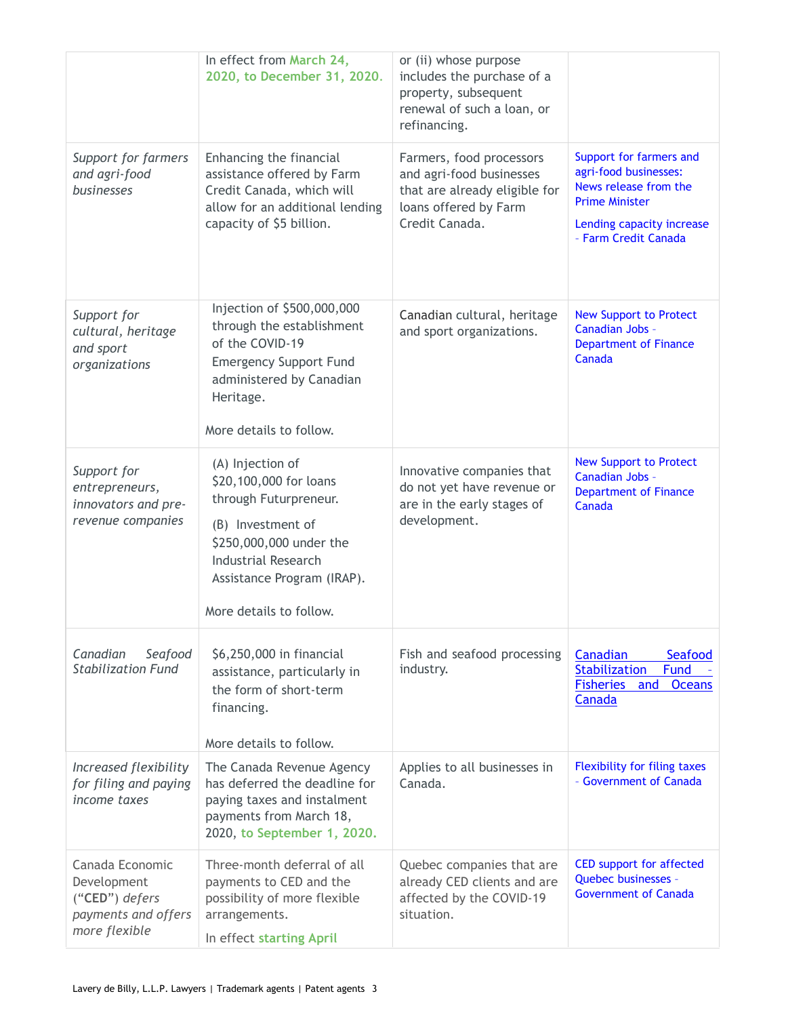|                                                                                          | In effect from March 24,<br>2020, to December 31, 2020.                                                                                                                                                    | or (ii) whose purpose<br>includes the purchase of a<br>property, subsequent<br>renewal of such a loan, or<br>refinancing.        |                                                                                                                                                         |
|------------------------------------------------------------------------------------------|------------------------------------------------------------------------------------------------------------------------------------------------------------------------------------------------------------|----------------------------------------------------------------------------------------------------------------------------------|---------------------------------------------------------------------------------------------------------------------------------------------------------|
| Support for farmers<br>and agri-food<br><b>businesses</b>                                | Enhancing the financial<br>assistance offered by Farm<br>Credit Canada, which will<br>allow for an additional lending<br>capacity of \$5 billion.                                                          | Farmers, food processors<br>and agri-food businesses<br>that are already eligible for<br>loans offered by Farm<br>Credit Canada. | Support for farmers and<br>agri-food businesses:<br>News release from the<br><b>Prime Minister</b><br>Lending capacity increase<br>- Farm Credit Canada |
| Support for<br>cultural, heritage<br>and sport<br>organizations                          | Injection of \$500,000,000<br>through the establishment<br>of the COVID-19<br><b>Emergency Support Fund</b><br>administered by Canadian<br>Heritage.<br>More details to follow.                            | Canadian cultural, heritage<br>and sport organizations.                                                                          | <b>New Support to Protect</b><br>Canadian Jobs -<br><b>Department of Finance</b><br>Canada                                                              |
| Support for<br>entrepreneurs,<br>innovators and pre-<br>revenue companies                | (A) Injection of<br>\$20,100,000 for loans<br>through Futurpreneur.<br>(B) Investment of<br>\$250,000,000 under the<br><b>Industrial Research</b><br>Assistance Program (IRAP).<br>More details to follow. | Innovative companies that<br>do not yet have revenue or<br>are in the early stages of<br>development.                            | <b>New Support to Protect</b><br>Canadian Jobs -<br><b>Department of Finance</b><br>Canada                                                              |
| Canadian<br>Seafood<br><b>Stabilization Fund</b>                                         | \$6,250,000 in financial<br>assistance, particularly in<br>the form of short-term<br>financing.<br>More details to follow.                                                                                 | Fish and seafood processing<br>industry.                                                                                         | Canadian<br>Seafood<br><b>Stabilization</b><br>Fund<br>Fisheries and<br><b>Oceans</b><br>Canada                                                         |
| Increased flexibility<br>for filing and paying<br>income taxes                           | The Canada Revenue Agency<br>has deferred the deadline for<br>paying taxes and instalment<br>payments from March 18,<br>2020, to September 1, 2020.                                                        | Applies to all businesses in<br>Canada.                                                                                          | <b>Flexibility for filing taxes</b><br>- Government of Canada                                                                                           |
| Canada Economic<br>Development<br>("CED") defers<br>payments and offers<br>more flexible | Three-month deferral of all<br>payments to CED and the<br>possibility of more flexible<br>arrangements.<br>In effect starting April                                                                        | Quebec companies that are<br>already CED clients and are<br>affected by the COVID-19<br>situation.                               | <b>CED support for affected</b><br>Quebec businesses -<br><b>Government of Canada</b>                                                                   |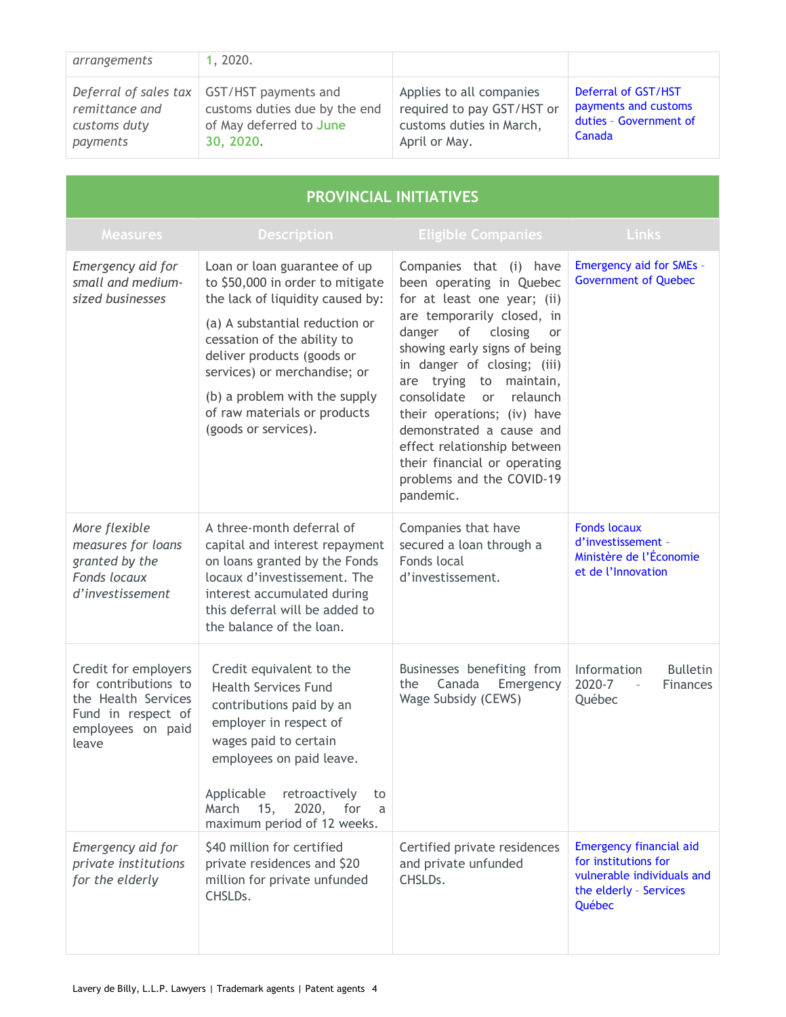| arrangements                               | 1, 2020.                                                                                                              |                                                                                                     |                                                                                 |
|--------------------------------------------|-----------------------------------------------------------------------------------------------------------------------|-----------------------------------------------------------------------------------------------------|---------------------------------------------------------------------------------|
| remittance and<br>customs duty<br>payments | Deferral of sales $tax$ GST/HST payments and<br>customs duties due by the end<br>of May deferred to June<br>30, 2020. | Applies to all companies<br>required to pay GST/HST or<br>customs duties in March,<br>April or May. | Deferral of GST/HST<br>payments and customs<br>duties - Government of<br>Canada |

| <b>PROVINCIAL INITIATIVES</b>                                                                                           |                                                                                                                                                                                                                                                                                                                              |                                                                                                                                                                                                                                                                                                                                                                                                                                                                |                                                                                                                          |
|-------------------------------------------------------------------------------------------------------------------------|------------------------------------------------------------------------------------------------------------------------------------------------------------------------------------------------------------------------------------------------------------------------------------------------------------------------------|----------------------------------------------------------------------------------------------------------------------------------------------------------------------------------------------------------------------------------------------------------------------------------------------------------------------------------------------------------------------------------------------------------------------------------------------------------------|--------------------------------------------------------------------------------------------------------------------------|
| <b>Measures</b>                                                                                                         | <b>Description</b>                                                                                                                                                                                                                                                                                                           | <b>Eligible Companies</b>                                                                                                                                                                                                                                                                                                                                                                                                                                      | Links                                                                                                                    |
| Emergency aid for<br>small and medium-<br>sized businesses                                                              | Loan or loan guarantee of up<br>to \$50,000 in order to mitigate<br>the lack of liquidity caused by:<br>(a) A substantial reduction or<br>cessation of the ability to<br>deliver products (goods or<br>services) or merchandise; or<br>(b) a problem with the supply<br>of raw materials or products<br>(goods or services). | Companies that (i) have<br>been operating in Quebec<br>for at least one year; (ii)<br>are temporarily closed, in<br>of<br>closing<br>danger<br><b>or</b><br>showing early signs of being<br>in danger of closing; (iii)<br>are trying to maintain,<br>consolidate<br>relaunch<br><b>or</b><br>their operations; (iv) have<br>demonstrated a cause and<br>effect relationship between<br>their financial or operating<br>problems and the COVID-19<br>pandemic. | <b>Emergency aid for SMEs -</b><br><b>Government of Quebec</b>                                                           |
| More flexible<br>measures for loans<br>granted by the<br><b>Fonds locaux</b><br>d'investissement                        | A three-month deferral of<br>capital and interest repayment<br>on loans granted by the Fonds<br>locaux d'investissement. The<br>interest accumulated during<br>this deferral will be added to<br>the balance of the loan.                                                                                                    | Companies that have<br>secured a loan through a<br>Fonds local<br>d'investissement.                                                                                                                                                                                                                                                                                                                                                                            | <b>Fonds locaux</b><br>d'investissement -<br>Ministère de l'Économie<br>et de l'Innovation                               |
| Credit for employers<br>for contributions to<br>the Health Services<br>Fund in respect of<br>employees on paid<br>leave | Credit equivalent to the<br><b>Health Services Fund</b><br>contributions paid by an<br>employer in respect of<br>wages paid to certain<br>employees on paid leave.<br>Applicable<br>retroactively<br>to<br>15,<br>2020,<br>March<br>for<br>a<br>maximum period of 12 weeks.                                                  | Businesses benefiting from<br>Canada<br>Emergency<br>the<br>Wage Subsidy (CEWS)                                                                                                                                                                                                                                                                                                                                                                                | Information<br><b>Bulletin</b><br>2020-7<br><b>Finances</b><br>$\bar{a}$<br>Québec                                       |
| Emergency aid for<br>private institutions<br>for the elderly                                                            | \$40 million for certified<br>private residences and \$20<br>million for private unfunded<br>CHSLD <sub>s</sub> .                                                                                                                                                                                                            | Certified private residences<br>and private unfunded<br>CHSLDs.                                                                                                                                                                                                                                                                                                                                                                                                | <b>Emergency financial aid</b><br>for institutions for<br>vulnerable individuals and<br>the elderly - Services<br>Québec |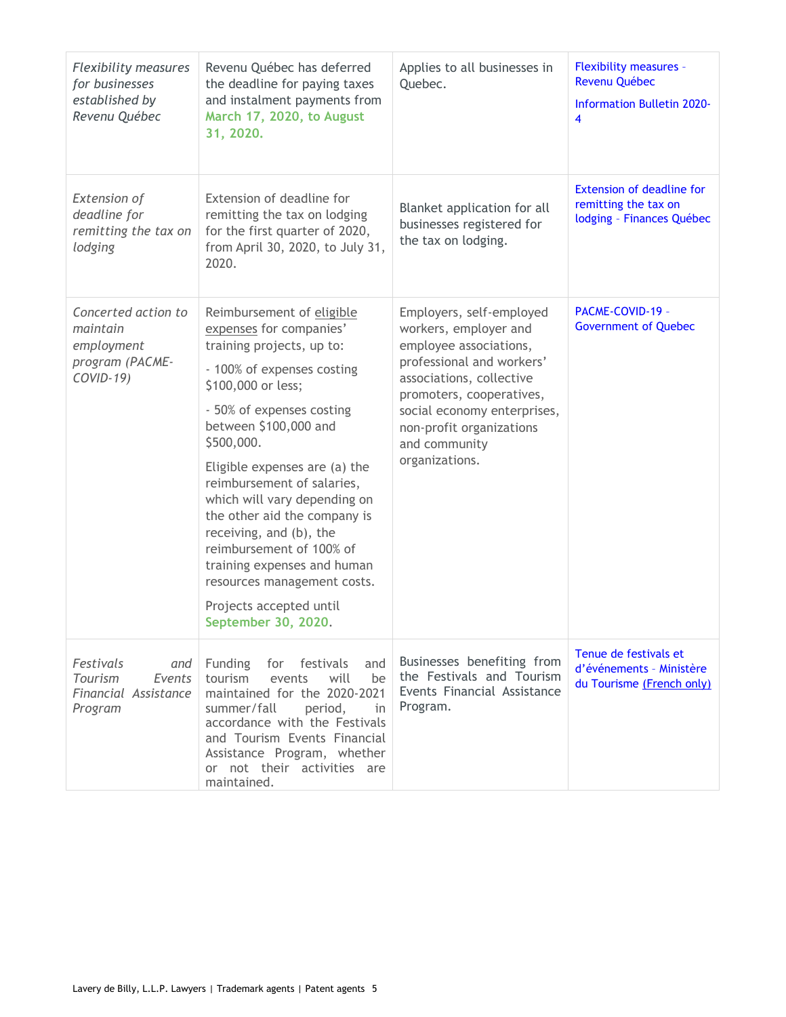| <b>Flexibility measures</b><br>for businesses<br>established by<br>Revenu Québec | Revenu Québec has deferred<br>the deadline for paying taxes<br>and instalment payments from<br>March 17, 2020, to August<br>31, 2020.                                                                                                                                                                                                                                                                                                                                                                           | Applies to all businesses in<br>Quebec.                                                                                                                                                                                                                        | <b>Flexibility measures -</b><br>Revenu Québec<br><b>Information Bulletin 2020-</b><br>$\overline{\mathbf{4}}$ |
|----------------------------------------------------------------------------------|-----------------------------------------------------------------------------------------------------------------------------------------------------------------------------------------------------------------------------------------------------------------------------------------------------------------------------------------------------------------------------------------------------------------------------------------------------------------------------------------------------------------|----------------------------------------------------------------------------------------------------------------------------------------------------------------------------------------------------------------------------------------------------------------|----------------------------------------------------------------------------------------------------------------|
| <b>Extension of</b><br>deadline for<br>remitting the tax on<br>lodging           | Extension of deadline for<br>remitting the tax on lodging<br>for the first quarter of 2020,<br>from April 30, 2020, to July 31,<br>2020.                                                                                                                                                                                                                                                                                                                                                                        | Blanket application for all<br>businesses registered for<br>the tax on lodging.                                                                                                                                                                                | <b>Extension of deadline for</b><br>remitting the tax on<br>lodging - Finances Québec                          |
| Concerted action to<br>maintain<br>employment<br>program (PACME-<br>COVID-19)    | Reimbursement of eligible<br>expenses for companies'<br>training projects, up to:<br>- 100% of expenses costing<br>\$100,000 or less;<br>- 50% of expenses costing<br>between \$100,000 and<br>\$500,000.<br>Eligible expenses are (a) the<br>reimbursement of salaries,<br>which will vary depending on<br>the other aid the company is<br>receiving, and (b), the<br>reimbursement of 100% of<br>training expenses and human<br>resources management costs.<br>Projects accepted until<br>September 30, 2020. | Employers, self-employed<br>workers, employer and<br>employee associations,<br>professional and workers'<br>associations, collective<br>promoters, cooperatives,<br>social economy enterprises,<br>non-profit organizations<br>and community<br>organizations. | PACME-COVID-19 -<br><b>Government of Quebec</b>                                                                |
| Festivals<br>and<br>Tourism<br>Events<br>Financial Assistance<br>Program         | Funding<br>festivals<br>for<br>and<br>tourism<br>will<br>events<br>be<br>maintained for the 2020-2021<br>summer/fall<br>period,<br>in.<br>accordance with the Festivals<br>and Tourism Events Financial<br>Assistance Program, whether<br>or not their activities are<br>maintained.                                                                                                                                                                                                                            | Businesses benefiting from<br>the Festivals and Tourism<br>Events Financial Assistance<br>Program.                                                                                                                                                             | Tenue de festivals et<br>d'événements - Ministère<br>du Tourisme (French only)                                 |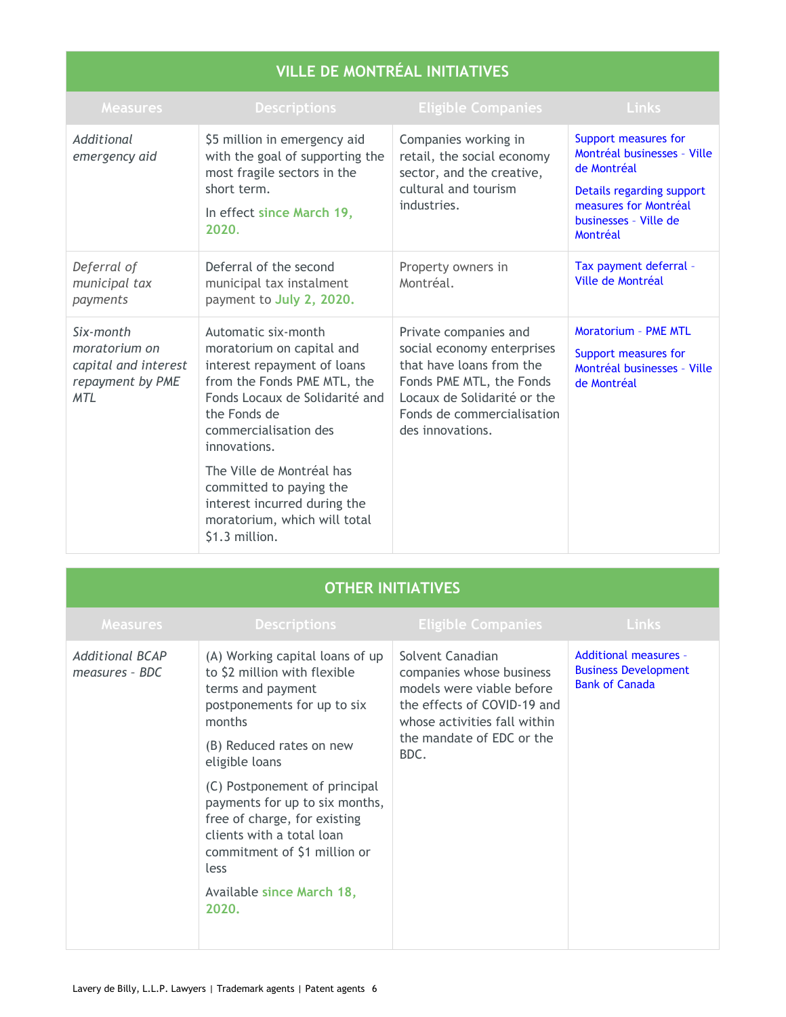# **VILLE DE MONTRÉAL INITIATIVES**

| <b>Measures</b>                                                                      | <b>Descriptions</b>                                                                                                                                                                                                                                                                                                                                 | <b>Eligible Companies</b>                                                                                                                                                                    | <b>Links</b>                                                                                                                                                  |
|--------------------------------------------------------------------------------------|-----------------------------------------------------------------------------------------------------------------------------------------------------------------------------------------------------------------------------------------------------------------------------------------------------------------------------------------------------|----------------------------------------------------------------------------------------------------------------------------------------------------------------------------------------------|---------------------------------------------------------------------------------------------------------------------------------------------------------------|
| Additional<br>emergency aid                                                          | \$5 million in emergency aid<br>with the goal of supporting the<br>most fragile sectors in the<br>short term.<br>In effect since March 19,<br>2020.                                                                                                                                                                                                 | Companies working in<br>retail, the social economy<br>sector, and the creative,<br>cultural and tourism<br>industries.                                                                       | Support measures for<br>Montréal businesses - Ville<br>de Montréal<br>Details regarding support<br>measures for Montréal<br>businesses - Ville de<br>Montréal |
| Deferral of<br>municipal tax<br>payments                                             | Deferral of the second<br>municipal tax instalment<br>payment to July 2, 2020.                                                                                                                                                                                                                                                                      | Property owners in<br>Montréal.                                                                                                                                                              | Tax payment deferral -<br>Ville de Montréal                                                                                                                   |
| Six-month<br>moratorium on<br>capital and interest<br>repayment by PME<br><b>MTL</b> | Automatic six-month<br>moratorium on capital and<br>interest repayment of loans<br>from the Fonds PME MTL, the<br>Fonds Locaux de Solidarité and<br>the Fonds de<br>commercialisation des<br>innovations.<br>The Ville de Montréal has<br>committed to paying the<br>interest incurred during the<br>moratorium, which will total<br>\$1.3 million. | Private companies and<br>social economy enterprises<br>that have loans from the<br>Fonds PME MTL, the Fonds<br>Locaux de Solidarité or the<br>Fonds de commercialisation<br>des innovations. | <b>Moratorium - PME MTL</b><br>Support measures for<br>Montréal businesses - Ville<br>de Montréal                                                             |

## **OTHER INITIATIVES**

| <b>Measures</b>                          | <b>Descriptions</b>                                                                                                                                                                                                                                                                                                                                                                       | <b>Eligible Companies</b>                                                                                                                                                     | <b>Links</b>                                                                         |
|------------------------------------------|-------------------------------------------------------------------------------------------------------------------------------------------------------------------------------------------------------------------------------------------------------------------------------------------------------------------------------------------------------------------------------------------|-------------------------------------------------------------------------------------------------------------------------------------------------------------------------------|--------------------------------------------------------------------------------------|
| <b>Additional BCAP</b><br>measures - BDC | (A) Working capital loans of up<br>to \$2 million with flexible<br>terms and payment<br>postponements for up to six<br>months<br>(B) Reduced rates on new<br>eligible loans<br>(C) Postponement of principal<br>payments for up to six months,<br>free of charge, for existing<br>clients with a total loan<br>commitment of \$1 million or<br>less<br>Available since March 18,<br>2020. | Solvent Canadian<br>companies whose business<br>models were viable before<br>the effects of COVID-19 and<br>whose activities fall within<br>the mandate of EDC or the<br>BDC. | <b>Additional measures -</b><br><b>Business Development</b><br><b>Bank of Canada</b> |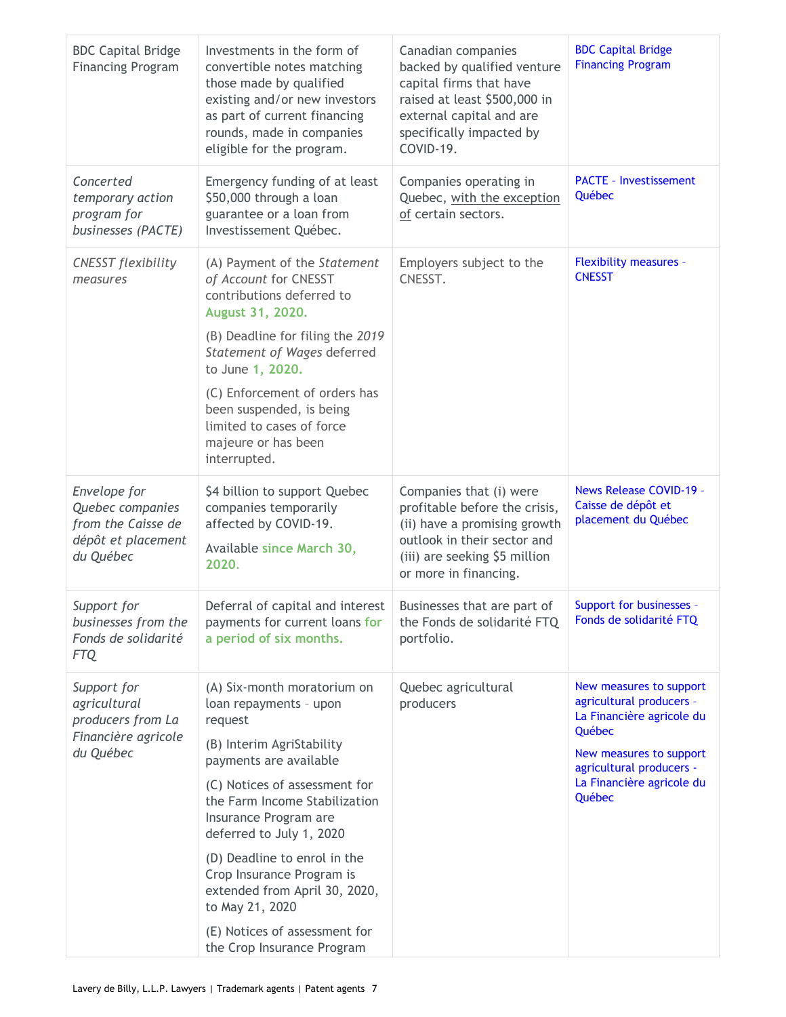| <b>BDC Capital Bridge</b><br><b>Financing Program</b>                                     | Investments in the form of<br>convertible notes matching<br>those made by qualified<br>existing and/or new investors<br>as part of current financing<br>rounds, made in companies<br>eligible for the program.                                                                                                                                                                                                                 | Canadian companies<br>backed by qualified venture<br>capital firms that have<br>raised at least \$500,000 in<br>external capital and are<br>specifically impacted by<br>COVID-19. | <b>BDC Capital Bridge</b><br><b>Financing Program</b>                                                                                                                                    |
|-------------------------------------------------------------------------------------------|--------------------------------------------------------------------------------------------------------------------------------------------------------------------------------------------------------------------------------------------------------------------------------------------------------------------------------------------------------------------------------------------------------------------------------|-----------------------------------------------------------------------------------------------------------------------------------------------------------------------------------|------------------------------------------------------------------------------------------------------------------------------------------------------------------------------------------|
| Concerted<br>temporary action<br>program for<br>businesses (PACTE)                        | Emergency funding of at least<br>\$50,000 through a loan<br>guarantee or a loan from<br>Investissement Québec.                                                                                                                                                                                                                                                                                                                 | Companies operating in<br>Quebec, with the exception<br>of certain sectors.                                                                                                       | <b>PACTE - Investissement</b><br>Québec                                                                                                                                                  |
| <b>CNESST</b> flexibility<br>measures                                                     | (A) Payment of the Statement<br>of Account for CNESST<br>contributions deferred to<br>August 31, 2020.<br>(B) Deadline for filing the 2019<br>Statement of Wages deferred<br>to June 1, 2020.<br>(C) Enforcement of orders has<br>been suspended, is being<br>limited to cases of force<br>majeure or has been<br>interrupted.                                                                                                 | Employers subject to the<br>CNESST.                                                                                                                                               | <b>Flexibility measures -</b><br><b>CNESST</b>                                                                                                                                           |
| Envelope for<br>Quebec companies<br>from the Caisse de<br>dépôt et placement<br>du Québec | \$4 billion to support Quebec<br>companies temporarily<br>affected by COVID-19.<br>Available since March 30,<br>2020.                                                                                                                                                                                                                                                                                                          | Companies that (i) were<br>profitable before the crisis,<br>(ii) have a promising growth<br>outlook in their sector and<br>(iii) are seeking \$5 million<br>or more in financing. | <b>News Release COVID-19 -</b><br>Caisse de dépôt et<br>placement du Québec                                                                                                              |
| Support for<br>businesses from the<br>Fonds de solidarité<br>FTQ                          | Deferral of capital and interest<br>payments for current loans for<br>a period of six months.                                                                                                                                                                                                                                                                                                                                  | Businesses that are part of<br>the Fonds de solidarité FTQ<br>portfolio.                                                                                                          | Support for businesses -<br>Fonds de solidarité FTQ                                                                                                                                      |
| Support for<br>agricultural<br>producers from La<br>Financière agricole<br>du Québec      | (A) Six-month moratorium on<br>loan repayments - upon<br>request<br>(B) Interim AgriStability<br>payments are available<br>(C) Notices of assessment for<br>the Farm Income Stabilization<br>Insurance Program are<br>deferred to July 1, 2020<br>(D) Deadline to enrol in the<br>Crop Insurance Program is<br>extended from April 30, 2020,<br>to May 21, 2020<br>(E) Notices of assessment for<br>the Crop Insurance Program | Quebec agricultural<br>producers                                                                                                                                                  | New measures to support<br>agricultural producers -<br>La Financière agricole du<br>Québec<br>New measures to support<br>agricultural producers -<br>La Financière agricole du<br>Québec |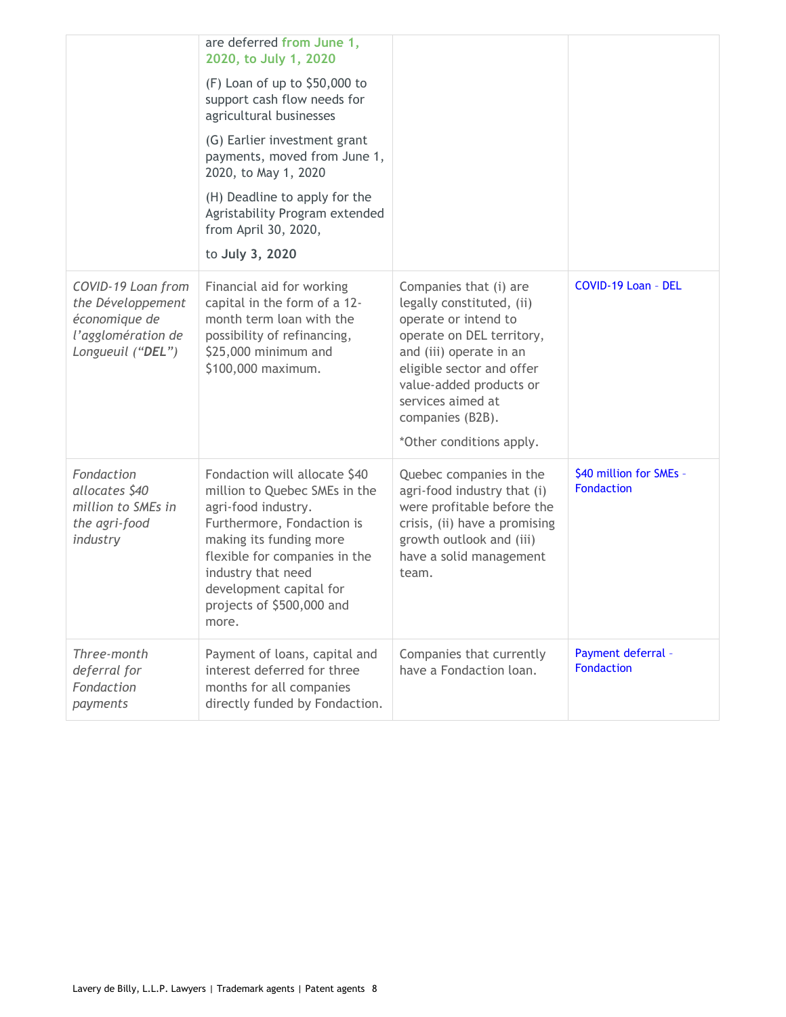|                                                                                                     | are deferred from June 1,<br>2020, to July 1, 2020<br>$(F)$ Loan of up to \$50,000 to<br>support cash flow needs for<br>agricultural businesses<br>(G) Earlier investment grant<br>payments, moved from June 1,<br>2020, to May 1, 2020<br>(H) Deadline to apply for the<br>Agristability Program extended<br>from April 30, 2020,<br>to July 3, 2020 |                                                                                                                                                                                                                                                                  |                                              |
|-----------------------------------------------------------------------------------------------------|-------------------------------------------------------------------------------------------------------------------------------------------------------------------------------------------------------------------------------------------------------------------------------------------------------------------------------------------------------|------------------------------------------------------------------------------------------------------------------------------------------------------------------------------------------------------------------------------------------------------------------|----------------------------------------------|
| COVID-19 Loan from<br>the Développement<br>économique de<br>l'agglomération de<br>Longueuil ("DEL") | Financial aid for working<br>capital in the form of a 12-<br>month term loan with the<br>possibility of refinancing,<br>\$25,000 minimum and<br>\$100,000 maximum.                                                                                                                                                                                    | Companies that (i) are<br>legally constituted, (ii)<br>operate or intend to<br>operate on DEL territory,<br>and (iii) operate in an<br>eligible sector and offer<br>value-added products or<br>services aimed at<br>companies (B2B).<br>*Other conditions apply. | COVID-19 Loan - DEL                          |
| Fondaction<br>allocates \$40<br>million to SMEs in<br>the agri-food<br>industry                     | Fondaction will allocate \$40<br>million to Quebec SMEs in the<br>agri-food industry.<br>Furthermore, Fondaction is<br>making its funding more<br>flexible for companies in the<br>industry that need<br>development capital for<br>projects of \$500,000 and<br>more.                                                                                | Quebec companies in the<br>agri-food industry that (i)<br>were profitable before the<br>crisis, (ii) have a promising<br>growth outlook and (iii)<br>have a solid management<br>team.                                                                            | \$40 million for SMEs -<br><b>Fondaction</b> |
| Three-month<br>deferral for<br>Fondaction<br>payments                                               | Payment of loans, capital and<br>interest deferred for three<br>months for all companies<br>directly funded by Fondaction.                                                                                                                                                                                                                            | Companies that currently<br>have a Fondaction loan.                                                                                                                                                                                                              | Payment deferral -<br><b>Fondaction</b>      |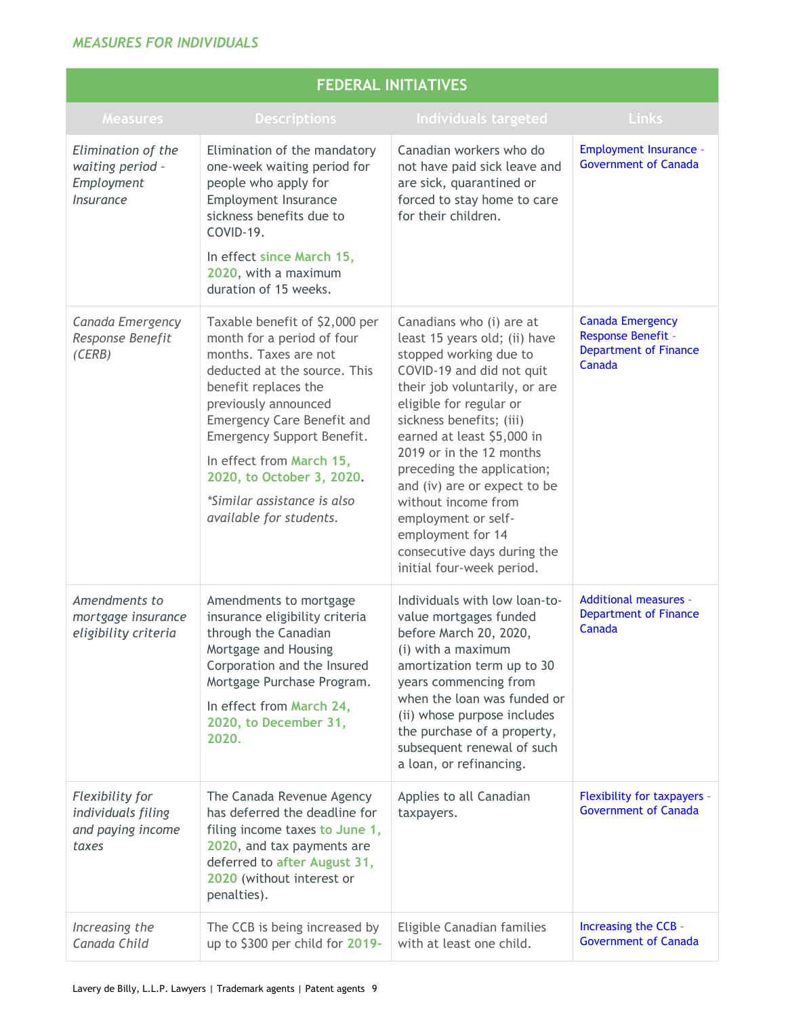### *MEASURES FOR INDIVIDUALS*

| <b>FEDERAL INITIATIVES</b>                                          |                                                                                                                                                                                                                                                                                                                                                             |                                                                                                                                                                                                                                                                                                                                                                                                                                                                 |                                                                                         |
|---------------------------------------------------------------------|-------------------------------------------------------------------------------------------------------------------------------------------------------------------------------------------------------------------------------------------------------------------------------------------------------------------------------------------------------------|-----------------------------------------------------------------------------------------------------------------------------------------------------------------------------------------------------------------------------------------------------------------------------------------------------------------------------------------------------------------------------------------------------------------------------------------------------------------|-----------------------------------------------------------------------------------------|
| <b>Measures</b>                                                     | <b>Descriptions</b>                                                                                                                                                                                                                                                                                                                                         | Individuals targeted                                                                                                                                                                                                                                                                                                                                                                                                                                            | <b>Links</b>                                                                            |
| Elimination of the<br>waiting period -<br>Employment<br>Insurance   | Elimination of the mandatory<br>one-week waiting period for<br>people who apply for<br><b>Employment Insurance</b><br>sickness benefits due to<br>COVID-19.<br>In effect since March 15,<br>2020, with a maximum<br>duration of 15 weeks.                                                                                                                   | Canadian workers who do<br>not have paid sick leave and<br>are sick, quarantined or<br>forced to stay home to care<br>for their children.                                                                                                                                                                                                                                                                                                                       | <b>Employment Insurance -</b><br><b>Government of Canada</b>                            |
| Canada Emergency<br>Response Benefit<br>(CERB)                      | Taxable benefit of \$2,000 per<br>month for a period of four<br>months. Taxes are not<br>deducted at the source. This<br>benefit replaces the<br>previously announced<br><b>Emergency Care Benefit and</b><br>Emergency Support Benefit.<br>In effect from March 15,<br>2020, to October 3, 2020.<br>*Similar assistance is also<br>available for students. | Canadians who (i) are at<br>least 15 years old; (ii) have<br>stopped working due to<br>COVID-19 and did not quit<br>their job voluntarily, or are<br>eligible for regular or<br>sickness benefits; (iii)<br>earned at least \$5,000 in<br>2019 or in the 12 months<br>preceding the application;<br>and (iv) are or expect to be<br>without income from<br>employment or self-<br>employment for 14<br>consecutive days during the<br>initial four-week period. | <b>Canada Emergency</b><br>Response Benefit -<br><b>Department of Finance</b><br>Canada |
| Amendments to<br>mortgage insurance<br>eligibility criteria         | Amendments to mortgage<br>insurance eligibility criteria<br>through the Canadian<br>Mortgage and Housing<br>Corporation and the Insured<br>Mortgage Purchase Program.<br>In effect from March 24,<br>2020, to December 31,<br>2020.                                                                                                                         | Individuals with low loan-to-<br>value mortgages funded<br>before March 20, 2020,<br>(i) with a maximum<br>amortization term up to 30<br>years commencing from<br>when the loan was funded or<br>(ii) whose purpose includes<br>the purchase of a property,<br>subsequent renewal of such<br>a loan, or refinancing.                                                                                                                                            | <b>Additional measures -</b><br><b>Department of Finance</b><br>Canada                  |
| Flexibility for<br>individuals filing<br>and paying income<br>taxes | The Canada Revenue Agency<br>has deferred the deadline for<br>filing income taxes to June 1,<br>2020, and tax payments are<br>deferred to after August 31,<br>2020 (without interest or<br>penalties).                                                                                                                                                      | Applies to all Canadian<br>taxpayers.                                                                                                                                                                                                                                                                                                                                                                                                                           | Flexibility for taxpayers -<br><b>Government of Canada</b>                              |
| Increasing the<br>Canada Child                                      | The CCB is being increased by<br>up to \$300 per child for 2019-                                                                                                                                                                                                                                                                                            | Eligible Canadian families<br>with at least one child.                                                                                                                                                                                                                                                                                                                                                                                                          | Increasing the CCB -<br><b>Government of Canada</b>                                     |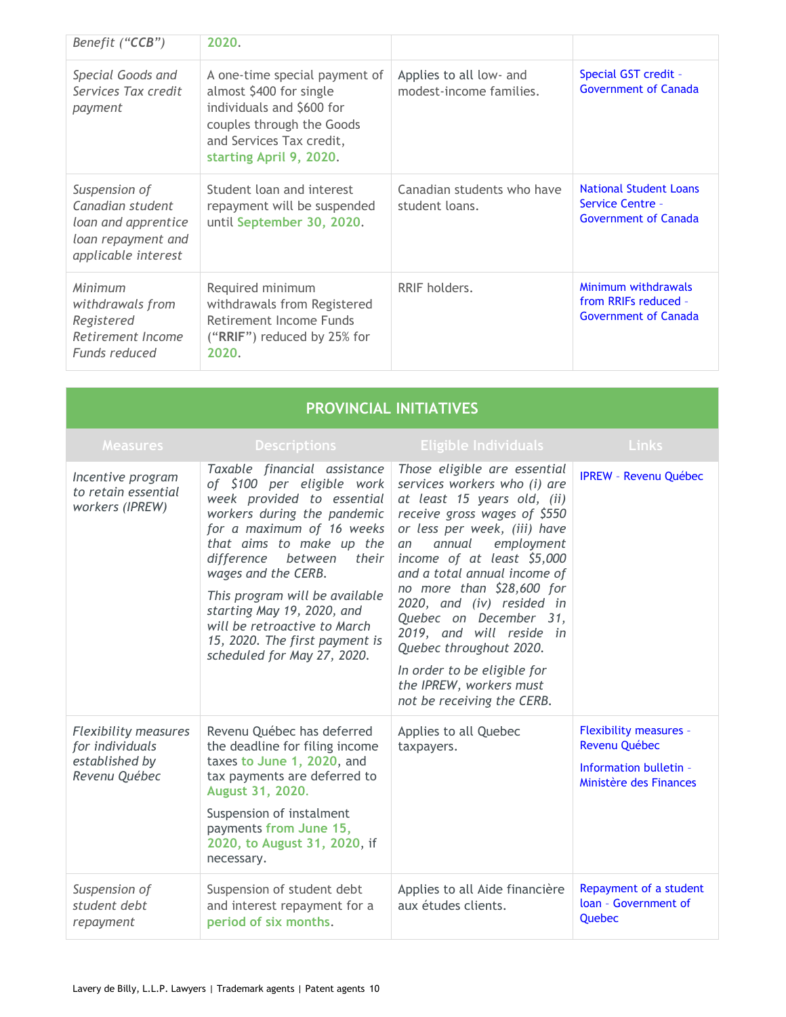| Benefit ("CCB")                                                                                       | 2020.                                                                                                                                                                     |                                                    |                                                                                         |
|-------------------------------------------------------------------------------------------------------|---------------------------------------------------------------------------------------------------------------------------------------------------------------------------|----------------------------------------------------|-----------------------------------------------------------------------------------------|
| Special Goods and<br>Services Tax credit<br>payment                                                   | A one-time special payment of<br>almost \$400 for single<br>individuals and \$600 for<br>couples through the Goods<br>and Services Tax credit,<br>starting April 9, 2020. | Applies to all low- and<br>modest-income families. | Special GST credit -<br><b>Government of Canada</b>                                     |
| Suspension of<br>Canadian student<br>loan and apprentice<br>loan repayment and<br>applicable interest | Student loan and interest<br>repayment will be suspended<br>until September 30, 2020.                                                                                     | Canadian students who have<br>student loans.       | <b>National Student Loans</b><br><b>Service Centre -</b><br><b>Government of Canada</b> |
| Minimum<br>withdrawals from<br>Registered<br>Retirement Income<br>Funds reduced                       | Required minimum<br>withdrawals from Registered<br>Retirement Income Funds<br>("RRIF") reduced by 25% for<br>2020.                                                        | RRIF holders.                                      | Minimum withdrawals<br>from RRIFs reduced -<br><b>Government of Canada</b>              |

| <b>PROVINCIAL INITIATIVES</b>                                                     |                                                                                                                                                                                                                                                                                                                                                                                                         |                                                                                                                                                                                                                                                                                                                                                                                                                                                                                            |                                                                                                    |
|-----------------------------------------------------------------------------------|---------------------------------------------------------------------------------------------------------------------------------------------------------------------------------------------------------------------------------------------------------------------------------------------------------------------------------------------------------------------------------------------------------|--------------------------------------------------------------------------------------------------------------------------------------------------------------------------------------------------------------------------------------------------------------------------------------------------------------------------------------------------------------------------------------------------------------------------------------------------------------------------------------------|----------------------------------------------------------------------------------------------------|
| <b>Measures</b>                                                                   | <b>Descriptions</b>                                                                                                                                                                                                                                                                                                                                                                                     | <b>Eligible Individuals</b>                                                                                                                                                                                                                                                                                                                                                                                                                                                                | <b>Links</b>                                                                                       |
| Incentive program<br>to retain essential<br>workers (IPREW)                       | Taxable financial assistance<br>of \$100 per eligible work<br>week provided to essential<br>workers during the pandemic<br>for a maximum of 16 weeks<br>that aims to make up the<br>their<br>difference between<br>wages and the CERB.<br>This program will be available<br>starting May 19, 2020, and<br>will be retroactive to March<br>15, 2020. The first payment is<br>scheduled for May 27, 2020. | Those eligible are essential<br>services workers who (i) are<br>at least 15 years old, (ii)<br>receive gross wages of \$550<br>or less per week, (iii) have<br>annual<br>employment<br>an<br>income of at least \$5,000<br>and a total annual income of<br>no more than \$28,600 for<br>2020, and (iv) resided in<br>Quebec on December 31,<br>2019, and will reside in<br>Quebec throughout 2020.<br>In order to be eligible for<br>the IPREW, workers must<br>not be receiving the CERB. | <b>IPREW - Revenu Québec</b>                                                                       |
| <b>Flexibility measures</b><br>for individuals<br>established by<br>Revenu Québec | Revenu Québec has deferred<br>the deadline for filing income<br>taxes to June 1, 2020, and<br>tax payments are deferred to<br>August 31, 2020.<br>Suspension of instalment<br>payments from June 15,<br>2020, to August 31, 2020, if<br>necessary.                                                                                                                                                      | Applies to all Quebec<br>taxpayers.                                                                                                                                                                                                                                                                                                                                                                                                                                                        | <b>Flexibility measures -</b><br>Revenu Québec<br>Information bulletin -<br>Ministère des Finances |
| Suspension of<br>student debt<br>repayment                                        | Suspension of student debt<br>and interest repayment for a<br>period of six months.                                                                                                                                                                                                                                                                                                                     | Applies to all Aide financière<br>aux études clients.                                                                                                                                                                                                                                                                                                                                                                                                                                      | Repayment of a student<br>loan - Government of<br>Quebec                                           |